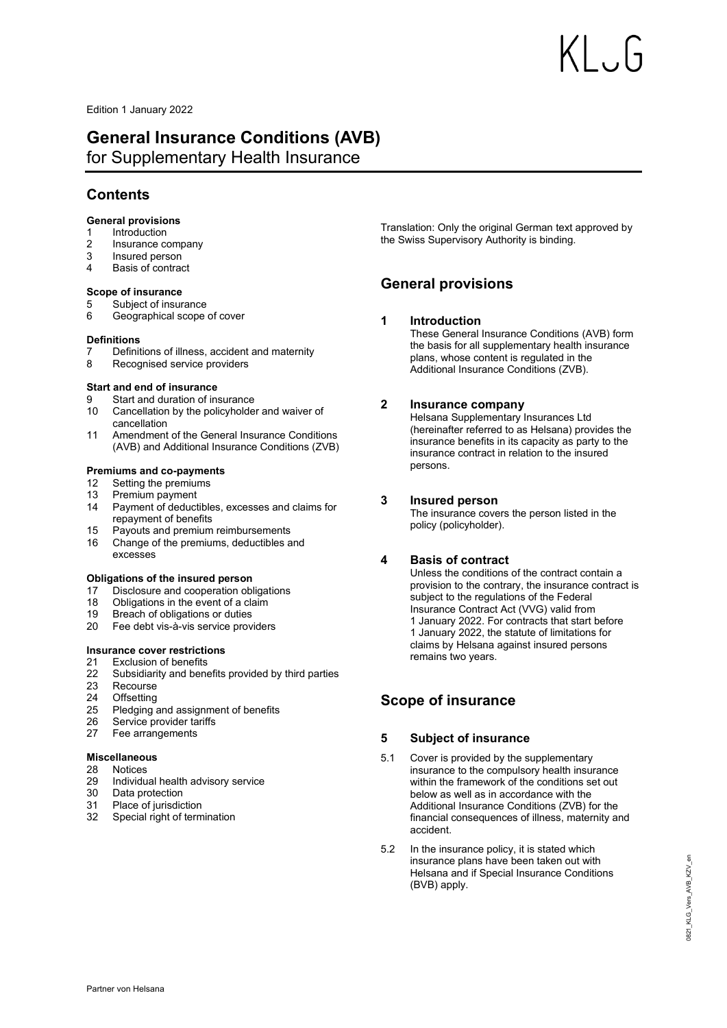Edition 1 January 2022

# **General Insurance Conditions (AVB)**

for Supplementary Health Insurance

# **Contents**

# **[General provisions](#page-0-0)**

- 1 [Introduction](#page-0-1)<br>2 Insurance c
- [Insurance company](#page-0-2)
- 3 [Insured person](#page-0-3)<br>4 Basis of contract
- [Basis of contract](#page-0-4)

# **[Scope of insurance](#page-0-5)**

- 5 [Subject of insurance](#page-0-6)<br>6 Geographical scope
- 6 [Geographical scope of cover](#page-0-7)

# **[Definitions](#page-1-0)**

- 7 [Definitions of illness, accident and maternity](#page-1-1)<br>8 Recognised service providers
- [Recognised service providers](#page-1-2)

# **[Start and end of insurance](#page-1-3)**

- 9 [Start and duration of insurance](#page-1-4)
- 10 [Cancellation by the policyholder and waiver of](#page-1-5)  [cancellation](#page-1-5)
- 11 [Amendment of the General Insurance Conditions](#page-1-6)  [\(AVB\) and Additional Insurance Conditions \(ZVB\)](#page-1-6)

# **[Premiums and co-payments](#page-1-7)**

- 12 [Setting the premiums](#page-2-0)
- 13 [Premium payment](#page-2-1)
- 14 [Payment of deductibles, excesses and claims for](#page-2-2)  [repayment of benefits](#page-2-2)
- 15 [Payouts and premium reimbursements](#page-2-3)
- 16 [Change of the premiums, deductibles and](#page-2-4)  [excesses](#page-2-4)

# **[Obligations of the insured person](#page-2-5)**

- 17 [Disclosure and cooperation obligations](#page-2-6)
- 18 [Obligations in the event of a claim](#page-3-0)<br>19 Breach of obligations or duties
- [Breach of obligations or duties](#page-3-1)
- 20 [Fee debt vis-à-vis service providers](#page-3-2)

# **[Insurance cover restrictions](#page-3-3)**

- 21 [Exclusion of benefits](#page-3-4)
- 22 [Subsidiarity and benefits provided by third parties](#page-3-5)
- [Recourse](#page-4-0)
- 24 [Offsetting](#page-4-1)
- 25 [Pledging and assignment of benefits](#page-4-2)
- 26 [Service provider tariffs](#page-4-3)
- 27 [Fee arrangements](#page-4-4)

# **[Miscellaneous](#page-4-5)**

- 28 [Notices](#page-4-6)
- 29 [Individual health advisory service](#page-4-7)
- 30 [Data protection](#page-4-8)
- 31 [Place of jurisdiction](#page-5-0)
- 32 [Special right of termination](#page-5-1)

<span id="page-0-0"></span>Translation: Only the original German text approved by the Swiss Supervisory Authority is binding.

# <span id="page-0-1"></span>**General provisions**

# **1 Introduction**

These General Insurance Conditions (AVB) form the basis for all supplementary health insurance plans, whose content is regulated in the Additional Insurance Conditions (ZVB).

# <span id="page-0-2"></span>**2 Insurance company**

Helsana Supplementary Insurances Ltd (hereinafter referred to as Helsana) provides the insurance benefits in its capacity as party to the insurance contract in relation to the insured persons.

# <span id="page-0-3"></span>**3 Insured person**

The insurance covers the person listed in the policy (policyholder).

# <span id="page-0-4"></span>**4 Basis of contract**

Unless the conditions of the contract contain a provision to the contrary, the insurance contract is subject to the regulations of the Federal Insurance Contract Act (VVG) valid from 1 January 2022. For contracts that start before 1 January 2022, the statute of limitations for claims by Helsana against insured persons remains two years.

# <span id="page-0-6"></span><span id="page-0-5"></span>**Scope of insurance**

# **5 Subject of insurance**

- 5.1 Cover is provided by the supplementary insurance to the compulsory health insurance within the framework of the conditions set out below as well as in accordance with the Additional Insurance Conditions (ZVB) for the financial consequences of illness, maternity and accident.
- <span id="page-0-7"></span>5.2 In the insurance policy, it is stated which insurance plans have been taken out with Helsana and if Special Insurance Conditions (BVB) apply.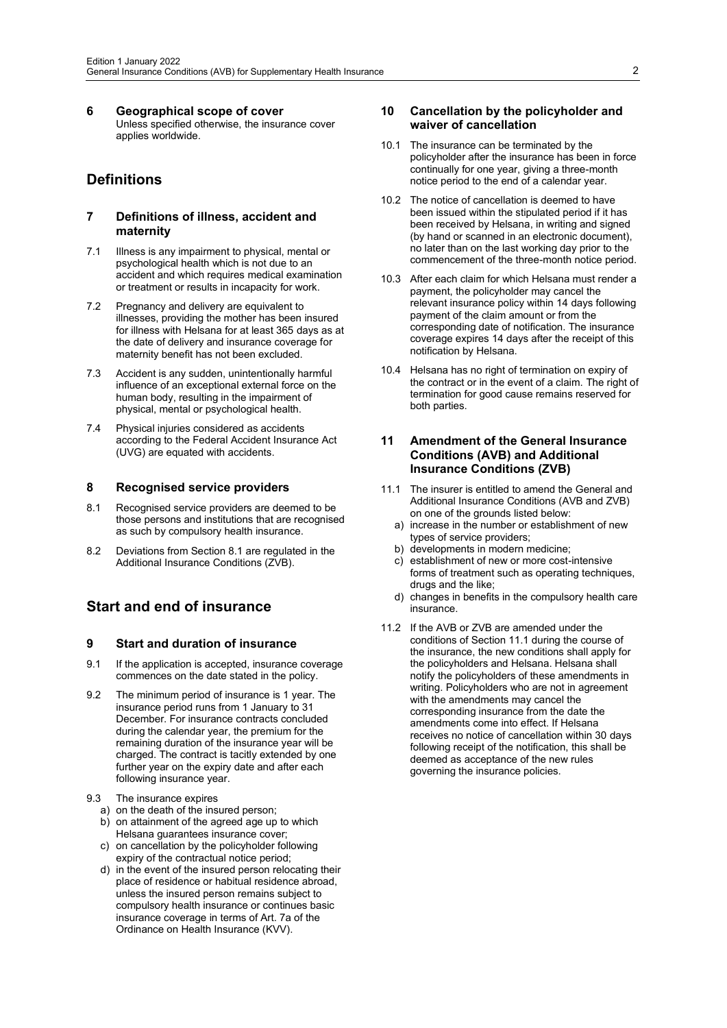**6 Geographical scope of cover** Unless specified otherwise, the insurance cover applies worldwide.

# <span id="page-1-1"></span><span id="page-1-0"></span>**Definitions**

#### **7 Definitions of illness, accident and maternity**

- 7.1 Illness is any impairment to physical, mental or psychological health which is not due to an accident and which requires medical examination or treatment or results in incapacity for work.
- 7.2 Pregnancy and delivery are equivalent to illnesses, providing the mother has been insured for illness with Helsana for at least 365 days as at the date of delivery and insurance coverage for maternity benefit has not been excluded.
- 7.3 Accident is any sudden, unintentionally harmful influence of an exceptional external force on the human body, resulting in the impairment of physical, mental or psychological health.
- 7.4 Physical injuries considered as accidents according to the Federal Accident Insurance Act (UVG) are equated with accidents.

#### <span id="page-1-2"></span>**8 Recognised service providers**

- 8.1 Recognised service providers are deemed to be those persons and institutions that are recognised as such by compulsory health insurance.
- <span id="page-1-3"></span>8.2 Deviations from Section 8.1 are regulated in the Additional Insurance Conditions (ZVB).

# <span id="page-1-4"></span>**Start and end of insurance**

#### **9 Start and duration of insurance**

- 9.1 If the application is accepted, insurance coverage commences on the date stated in the policy.
- 9.2 The minimum period of insurance is 1 year. The insurance period runs from 1 January to 31 December. For insurance contracts concluded during the calendar year, the premium for the remaining duration of the insurance year will be charged. The contract is tacitly extended by one further year on the expiry date and after each following insurance year.
- 9.3 The insurance expires
	- a) on the death of the insured person;
	- b) on attainment of the agreed age up to which Helsana guarantees insurance cover;
	- c) on cancellation by the policyholder following expiry of the contractual notice period;
	- d) in the event of the insured person relocating their place of residence or habitual residence abroad, unless the insured person remains subject to compulsory health insurance or continues basic insurance coverage in terms of Art. 7a of the Ordinance on Health Insurance (KVV).

### <span id="page-1-5"></span>**10 Cancellation by the policyholder and waiver of cancellation**

- 10.1 The insurance can be terminated by the policyholder after the insurance has been in force continually for one year, giving a three-month notice period to the end of a calendar year.
- 10.2 The notice of cancellation is deemed to have been issued within the stipulated period if it has been received by Helsana, in writing and signed (by hand or scanned in an electronic document), no later than on the last working day prior to the commencement of the three-month notice period.
- 10.3 After each claim for which Helsana must render a payment, the policyholder may cancel the relevant insurance policy within 14 days following payment of the claim amount or from the corresponding date of notification. The insurance coverage expires 14 days after the receipt of this notification by Helsana.
- 10.4 Helsana has no right of termination on expiry of the contract or in the event of a claim. The right of termination for good cause remains reserved for both parties.

# <span id="page-1-6"></span>**11 Amendment of the General Insurance Conditions (AVB) and Additional Insurance Conditions (ZVB)**

- 11.1 The insurer is entitled to amend the General and Additional Insurance Conditions (AVB and ZVB) on one of the grounds listed below:
	- a) increase in the number or establishment of new types of service providers;
	- b) developments in modern medicine;
	- c) establishment of new or more cost-intensive forms of treatment such as operating techniques, drugs and the like;
	- d) changes in benefits in the compulsory health care insurance.
- <span id="page-1-7"></span>11.2 If the AVB or ZVB are amended under the conditions of Section 11.1 during the course of the insurance, the new conditions shall apply for the policyholders and Helsana. Helsana shall notify the policyholders of these amendments in writing. Policyholders who are not in agreement with the amendments may cancel the corresponding insurance from the date the amendments come into effect. If Helsana receives no notice of cancellation within 30 days following receipt of the notification, this shall be deemed as acceptance of the new rules governing the insurance policies.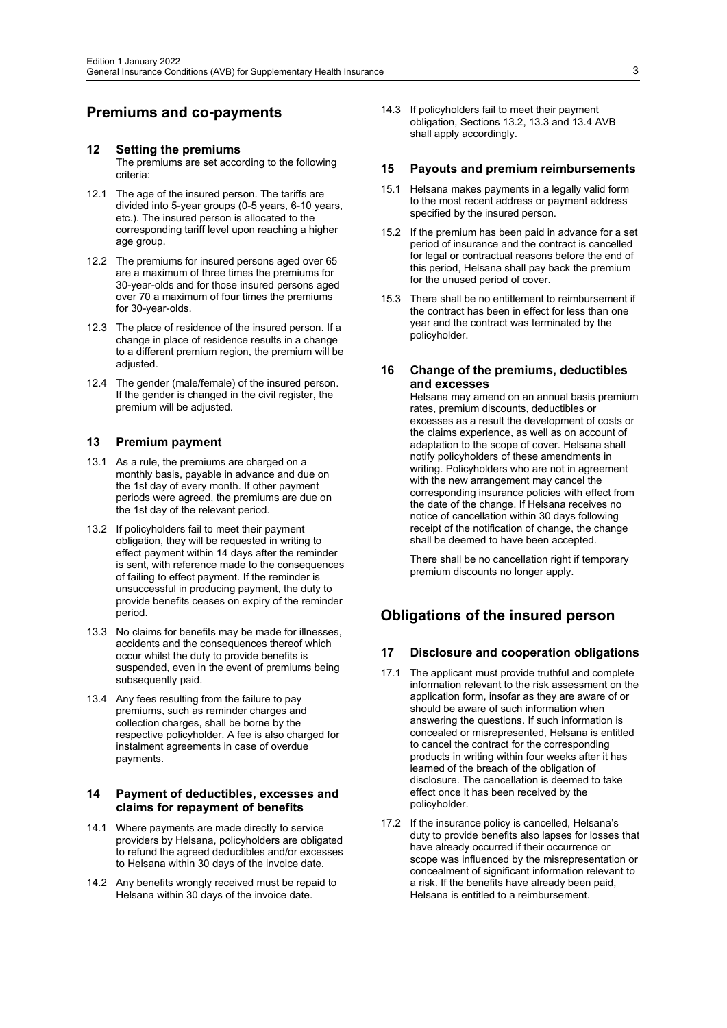# <span id="page-2-0"></span>**Premiums and co-payments**

# **12 Setting the premiums**

- The premiums are set according to the following criteria:
- 12.1 The age of the insured person. The tariffs are divided into 5-year groups (0-5 years, 6-10 years, etc.). The insured person is allocated to the corresponding tariff level upon reaching a higher age group.
- 12.2 The premiums for insured persons aged over 65 are a maximum of three times the premiums for 30-year-olds and for those insured persons aged over 70 a maximum of four times the premiums for 30-year-olds.
- 12.3 The place of residence of the insured person. If a change in place of residence results in a change to a different premium region, the premium will be adiusted.
- 12.4 The gender (male/female) of the insured person. If the gender is changed in the civil register, the premium will be adjusted.

#### <span id="page-2-1"></span>**13 Premium payment**

- 13.1 As a rule, the premiums are charged on a monthly basis, payable in advance and due on the 1st day of every month. If other payment periods were agreed, the premiums are due on the 1st day of the relevant period.
- 13.2 If policyholders fail to meet their payment obligation, they will be requested in writing to effect payment within 14 days after the reminder is sent, with reference made to the consequences of failing to effect payment. If the reminder is unsuccessful in producing payment, the duty to provide benefits ceases on expiry of the reminder period.
- 13.3 No claims for benefits may be made for illnesses, accidents and the consequences thereof which occur whilst the duty to provide benefits is suspended, even in the event of premiums being subsequently paid.
- 13.4 Any fees resulting from the failure to pay premiums, such as reminder charges and collection charges, shall be borne by the respective policyholder. A fee is also charged for instalment agreements in case of overdue payments.

## <span id="page-2-2"></span>**14 Payment of deductibles, excesses and claims for repayment of benefits**

- 14.1 Where payments are made directly to service providers by Helsana, policyholders are obligated to refund the agreed deductibles and/or excesses to Helsana within 30 days of the invoice date.
- 14.2 Any benefits wrongly received must be repaid to Helsana within 30 days of the invoice date.

14.3 If policyholders fail to meet their payment obligation, Sections 13.2, 13.3 and 13.4 AVB shall apply accordingly.

#### <span id="page-2-3"></span>**15 Payouts and premium reimbursements**

- 15.1 Helsana makes payments in a legally valid form to the most recent address or payment address specified by the insured person.
- 15.2 If the premium has been paid in advance for a set period of insurance and the contract is cancelled for legal or contractual reasons before the end of this period, Helsana shall pay back the premium for the unused period of cover.
- 15.3 There shall be no entitlement to reimbursement if the contract has been in effect for less than one year and the contract was terminated by the policyholder.

### <span id="page-2-4"></span>**16 Change of the premiums, deductibles and excesses**

Helsana may amend on an annual basis premium rates, premium discounts, deductibles or excesses as a result the development of costs or the claims experience, as well as on account of adaptation to the scope of cover. Helsana shall notify policyholders of these amendments in writing. Policyholders who are not in agreement with the new arrangement may cancel the corresponding insurance policies with effect from the date of the change. If Helsana receives no notice of cancellation within 30 days following receipt of the notification of change, the change shall be deemed to have been accepted.

There shall be no cancellation right if temporary premium discounts no longer apply.

# <span id="page-2-6"></span><span id="page-2-5"></span>**Obligations of the insured person**

#### **17 Disclosure and cooperation obligations**

- 17.1 The applicant must provide truthful and complete information relevant to the risk assessment on the application form, insofar as they are aware of or should be aware of such information when answering the questions. If such information is concealed or misrepresented, Helsana is entitled to cancel the contract for the corresponding products in writing within four weeks after it has learned of the breach of the obligation of disclosure. The cancellation is deemed to take effect once it has been received by the policyholder.
- 17.2 If the insurance policy is cancelled, Helsana's duty to provide benefits also lapses for losses that have already occurred if their occurrence or scope was influenced by the misrepresentation or concealment of significant information relevant to a risk. If the benefits have already been paid, Helsana is entitled to a reimbursement.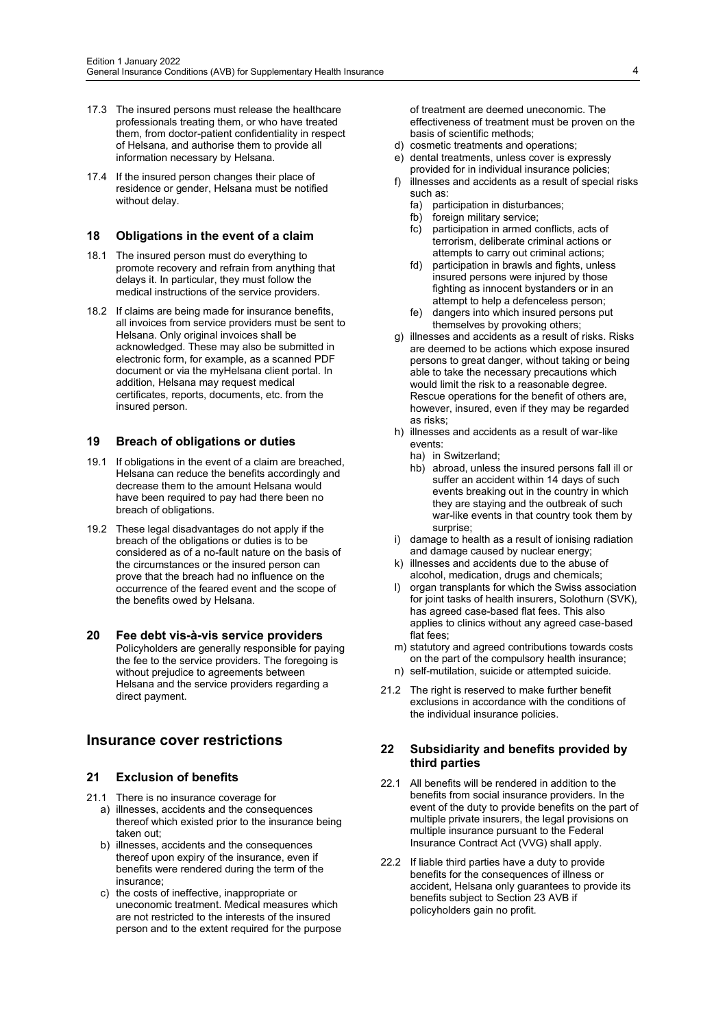- 17.3 The insured persons must release the healthcare professionals treating them, or who have treated them, from doctor-patient confidentiality in respect of Helsana, and authorise them to provide all information necessary by Helsana.
- 17.4 If the insured person changes their place of residence or gender, Helsana must be notified without delay.

#### <span id="page-3-0"></span>**18 Obligations in the event of a claim**

- 18.1 The insured person must do everything to promote recovery and refrain from anything that delays it. In particular, they must follow the medical instructions of the service providers.
- 18.2 If claims are being made for insurance benefits, all invoices from service providers must be sent to Helsana. Only original invoices shall be acknowledged. These may also be submitted in electronic form, for example, as a scanned PDF document or via the myHelsana client portal. In addition, Helsana may request medical certificates, reports, documents, etc. from the insured person.

#### <span id="page-3-1"></span>**19 Breach of obligations or duties**

- 19.1 If obligations in the event of a claim are breached, Helsana can reduce the benefits accordingly and decrease them to the amount Helsana would have been required to pay had there been no breach of obligations.
- 19.2 These legal disadvantages do not apply if the breach of the obligations or duties is to be considered as of a no-fault nature on the basis of the circumstances or the insured person can prove that the breach had no influence on the occurrence of the feared event and the scope of the benefits owed by Helsana.
- <span id="page-3-2"></span>**20 Fee debt vis-à-vis service providers**  Policyholders are generally responsible for paying the fee to the service providers. The foregoing is without prejudice to agreements between Helsana and the service providers regarding a direct payment.

# <span id="page-3-4"></span><span id="page-3-3"></span>**Insurance cover restrictions**

#### **21 Exclusion of benefits**

- 21.1 There is no insurance coverage for a) illnesses, accidents and the consequences thereof which existed prior to the insurance being taken out;
	- b) illnesses, accidents and the consequences thereof upon expiry of the insurance, even if benefits were rendered during the term of the insurance;
	- c) the costs of ineffective, inappropriate or uneconomic treatment. Medical measures which are not restricted to the interests of the insured person and to the extent required for the purpose

of treatment are deemed uneconomic. The effectiveness of treatment must be proven on the basis of scientific methods;

- d) cosmetic treatments and operations;
- e) dental treatments, unless cover is expressly provided for in individual insurance policies;
- f) illnesses and accidents as a result of special risks such as:
	- fa) participation in disturbances;
	- fb) foreign military service:
	- fc) participation in armed conflicts, acts of terrorism, deliberate criminal actions or attempts to carry out criminal actions;
	- fd) participation in brawls and fights, unless insured persons were injured by those fighting as innocent bystanders or in an attempt to help a defenceless person;
	- fe) dangers into which insured persons put themselves by provoking others;
- g) illnesses and accidents as a result of risks. Risks are deemed to be actions which expose insured persons to great danger, without taking or being able to take the necessary precautions which would limit the risk to a reasonable degree. Rescue operations for the benefit of others are, however, insured, even if they may be regarded as risks;
- h) illnesses and accidents as a result of war-like events:
	- ha) in Switzerland;
	- hb) abroad, unless the insured persons fall ill or suffer an accident within 14 days of such events breaking out in the country in which they are staying and the outbreak of such war-like events in that country took them by surprise;
- i) damage to health as a result of ionising radiation and damage caused by nuclear energy;
- k) illnesses and accidents due to the abuse of alcohol, medication, drugs and chemicals;
- l) organ transplants for which the Swiss association for joint tasks of health insurers, Solothurn (SVK), has agreed case-based flat fees. This also applies to clinics without any agreed case-based flat fees;
- m) statutory and agreed contributions towards costs on the part of the compulsory health insurance;
- n) self-mutilation, suicide or attempted suicide.
- 21.2 The right is reserved to make further benefit exclusions in accordance with the conditions of the individual insurance policies.

#### <span id="page-3-5"></span>**22 Subsidiarity and benefits provided by third parties**

- 22.1 All benefits will be rendered in addition to the benefits from social insurance providers. In the event of the duty to provide benefits on the part of multiple private insurers, the legal provisions on multiple insurance pursuant to the Federal Insurance Contract Act (VVG) shall apply.
- 22.2 If liable third parties have a duty to provide benefits for the consequences of illness or accident, Helsana only guarantees to provide its benefits subject to Section 23 AVB if policyholders gain no profit.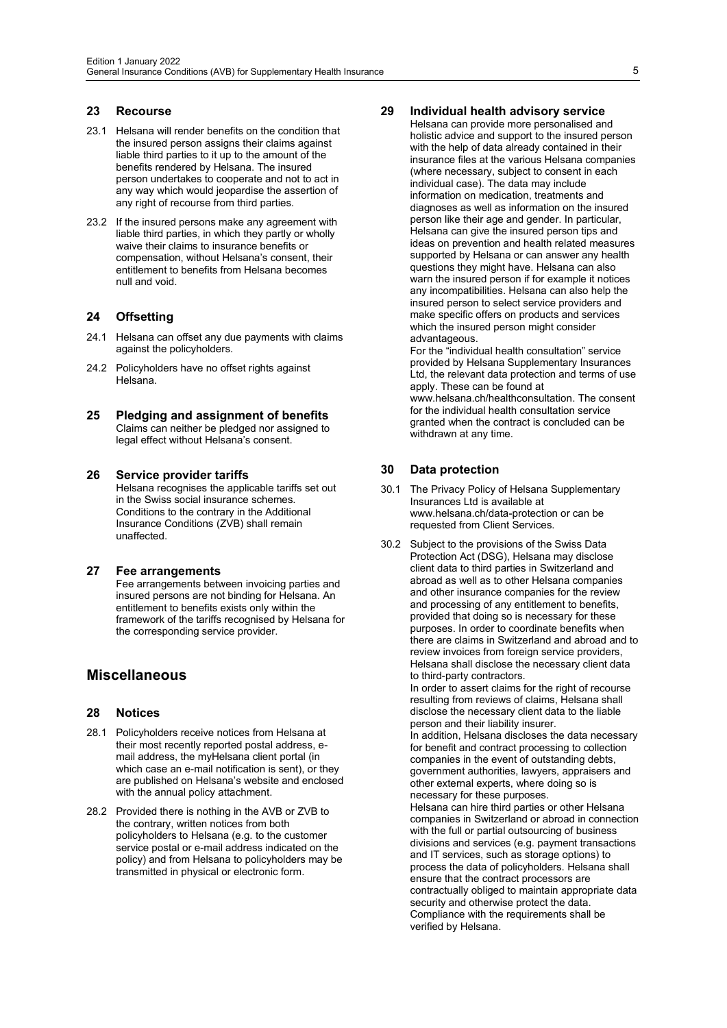#### <span id="page-4-0"></span>**23 Recourse**

- 23.1 Helsana will render benefits on the condition that the insured person assigns their claims against liable third parties to it up to the amount of the benefits rendered by Helsana. The insured person undertakes to cooperate and not to act in any way which would jeopardise the assertion of any right of recourse from third parties.
- 23.2 If the insured persons make any agreement with liable third parties, in which they partly or wholly waive their claims to insurance benefits or compensation, without Helsana's consent, their entitlement to benefits from Helsana becomes null and void.

## <span id="page-4-1"></span>**24 Offsetting**

- 24.1 Helsana can offset any due payments with claims against the policyholders.
- 24.2 Policyholders have no offset rights against Helsana.
- <span id="page-4-2"></span>**25 Pledging and assignment of benefits** Claims can neither be pledged nor assigned to legal effect without Helsana's consent.

#### <span id="page-4-3"></span>**26 Service provider tariffs**

Helsana recognises the applicable tariffs set out in the Swiss social insurance schemes. Conditions to the contrary in the Additional Insurance Conditions (ZVB) shall remain unaffected.

#### <span id="page-4-4"></span>**27 Fee arrangements**

Fee arrangements between invoicing parties and insured persons are not binding for Helsana. An entitlement to benefits exists only within the framework of the tariffs recognised by Helsana for the corresponding service provider.

# <span id="page-4-6"></span><span id="page-4-5"></span>**Miscellaneous**

#### **28 Notices**

- 28.1 Policyholders receive notices from Helsana at their most recently reported postal address, email address, the myHelsana client portal (in which case an e-mail notification is sent), or they are published on Helsana's website and enclosed with the annual policy attachment.
- <span id="page-4-7"></span>28.2 Provided there is nothing in the AVB or ZVB to the contrary, written notices from both policyholders to Helsana (e.g. to the customer service postal or e-mail address indicated on the policy) and from Helsana to policyholders may be transmitted in physical or electronic form.

## **29 Individual health advisory service**

Helsana can provide more personalised and holistic advice and support to the insured person with the help of data already contained in their insurance files at the various Helsana companies (where necessary, subject to consent in each individual case). The data may include information on medication, treatments and diagnoses as well as information on the insured person like their age and gender. In particular, Helsana can give the insured person tips and ideas on prevention and health related measures supported by Helsana or can answer any health questions they might have. Helsana can also warn the insured person if for example it notices any incompatibilities. Helsana can also help the insured person to select service providers and make specific offers on products and services which the insured person might consider advantageous.

For the "individual health consultation" service provided by Helsana Supplementary Insurances Ltd, the relevant data protection and terms of use apply. These can be found at www.helsana.ch/healthconsultation. The consent for the individual health consultation service granted when the contract is concluded can be withdrawn at any time.

#### <span id="page-4-8"></span>**30 Data protection**

- 30.1 The Privacy Policy of Helsana Supplementary Insurances Ltd is available at www.helsana.ch/data-protection or can be requested from Client Services.
- 30.2 Subject to the provisions of the Swiss Data Protection Act (DSG), Helsana may disclose client data to third parties in Switzerland and abroad as well as to other Helsana companies and other insurance companies for the review and processing of any entitlement to benefits, provided that doing so is necessary for these purposes. In order to coordinate benefits when there are claims in Switzerland and abroad and to review invoices from foreign service providers, Helsana shall disclose the necessary client data to third-party contractors.

In order to assert claims for the right of recourse resulting from reviews of claims, Helsana shall disclose the necessary client data to the liable person and their liability insurer.

In addition, Helsana discloses the data necessary for benefit and contract processing to collection companies in the event of outstanding debts, government authorities, lawyers, appraisers and other external experts, where doing so is necessary for these purposes.

Helsana can hire third parties or other Helsana companies in Switzerland or abroad in connection with the full or partial outsourcing of business divisions and services (e.g. payment transactions and IT services, such as storage options) to process the data of policyholders. Helsana shall ensure that the contract processors are contractually obliged to maintain appropriate data security and otherwise protect the data. Compliance with the requirements shall be verified by Helsana.